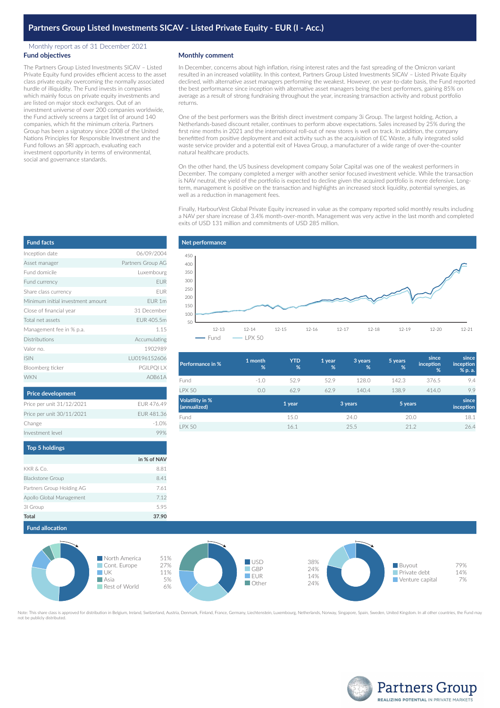## Monthly report as of 31 December 2021 **Fund objectives**

The Partners Group Listed Investments SICAV – Listed Private Equity fund provides efficient access to the asset class private equity overcoming the normally associated hurdle of illiquidity. The Fund invests in companies which mainly focus on private equity investments and are listed on major stock exchanges. Out of an investment universe of over 200 companies worldwide, the Fund actively screens a target list of around 140 companies, which fit the minimum criteria. Partners Group has been a signatory since 2008 of the United Nations Principles for Responsible Investment and the Fund follows an SRI approach, evaluating each investment opportunity in terms of environmental, social and governance standards.

## **Monthly comment**

In December, concerns about high inflation, rising interest rates and the fast spreading of the Omicron variant resulted in an increased volatility. In this context, Partners Group Listed Investments SICAV – Listed Private Equity declined, with alternative asset managers performing the weakest. However, on year-to-date basis, the Fund reported the best performance since inception with alternative asset managers being the best performers, gaining 85% on average as a result of strong fundraising throughout the year, increasing transaction activity and robust portfolio returns.

One of the best performers was the British direct investment company 3i Group. The largest holding, Action, a Netherlands-based discount retailer, continues to perform above expectations. Sales increased by 25% during the first nine months in 2021 and the international roll-out of new stores is well on track. In addition, the company benefitted from positive deployment and exit activity such as the acquisition of EC Waste, a fully integrated solid waste service provider and a potential exit of Havea Group, a manufacturer of a wide range of over-the-counter natural healthcare products.

On the other hand, the US business development company Solar Capital was one of the weakest performers in December. The company completed a merger with another senior focused investment vehicle. While the transaction is NAV neutral, the yield of the portfolio is expected to decline given the acquired portfolio is more defensive. Longterm, management is positive on the transaction and highlights an increased stock liquidity, potential synergies, as well as a reduction in management fees.

Finally, HarbourVest Global Private Equity increased in value as the company reported solid monthly results including a NAV per share increase of 3.4% month-over-month. Management was very active in the last month and completed exits of USD 131 million and commitments of USD 285 million.



| Performance in %                | 1 month<br>% | <b>YTD</b><br>% | 1 year<br>% | 3 years<br>% | 5 years<br>% | since<br>inception<br>% | since<br>inception<br>% p. a. |
|---------------------------------|--------------|-----------------|-------------|--------------|--------------|-------------------------|-------------------------------|
| Fund                            | $-1.0$       | 52.9            | 52.9        | 128.0        | 142.3        | 376.5                   | 9.4                           |
| <b>LPX 50</b>                   | 0.0          | 62.9            | 62.9        | 140.4        | 138.9        | 414.0                   | 9.9                           |
| Volatility in %<br>(annualized) |              | 1 year          |             | 3 years      | 5 years      |                         | since<br>inception            |
| Fund                            |              | 15.0            |             | 24.0         | 20.0         |                         | 18.1                          |
| <b>LPX 50</b>                   |              | 16.1            |             | 25.5         | 21.2         |                         | 26.4                          |



Note: This share class is approved for distribution in Belgium, Ireland, Switzerland, Austria, Denmark, Finland, France, Germany, Liechtenstein, Luxembourg, Netherlands, Norway, Singapore, Spain, Sweden, United Kingdom. In not be publicly distributed



| <b>Fund facts</b>                 |                   |
|-----------------------------------|-------------------|
| Inception date                    | 06/09/2004        |
| Asset manager                     | Partners Group AG |
| Fund domicile                     | Luxembourg        |
| Fund currency                     | <b>EUR</b>        |
| Share class currency              | EUR               |
| Minimum initial investment amount | EUR 1m            |
| Close of financial year           | 31 December       |
| Total net assets                  | EUR 405.5m        |
| Management fee in % p.a.          | 1.15              |
| Distributions                     | Accumulating      |
| Valor no.                         | 1902989           |
| <b>ISIN</b>                       | LU0196152606      |
| Bloomberg ticker                  | PGILPQI LX        |
| <b>WKN</b>                        | A0B61A            |

| <b>Price development</b>  |            |
|---------------------------|------------|
| Price per unit 31/12/2021 | FUR 476.49 |
| Price per unit 30/11/2021 | FUR 481.36 |
| Change                    | $-1.0%$    |
| Investment level          |            |

| <b>Top 5 holdings</b>     |             |
|---------------------------|-------------|
|                           | in % of NAV |
| KKR & Co.                 | 8.81        |
| <b>Blackstone Group</b>   | 8.41        |
| Partners Group Holding AG | 7.61        |
| Apollo Global Management  | 7.12        |
| 31 Group                  | 5.95        |
| Total                     | 37.90       |